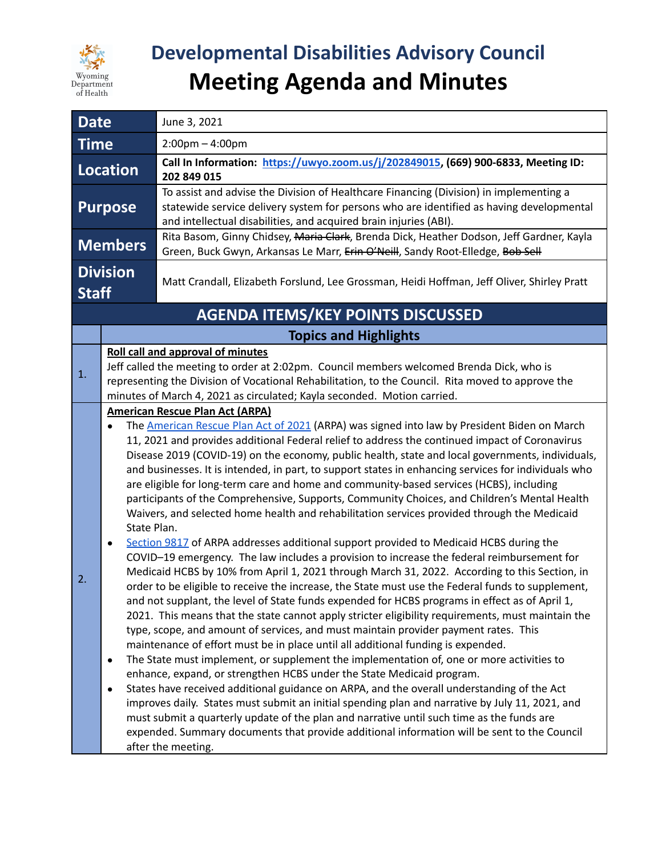

# **Developmental Disabilities Advisory Council Meeting Agenda and Minutes**

| <b>Date</b>                              |                                                                                                                                                                                                                                                                                                                                                                                                                                                                                                                                                                                                                                                                                                                                                                                                                                                                                                                                                                                                                                                                                                                                                                                                                                                                                                                                                                                                                                                                                                                                                                                                                                                                                                                                                                                                                                                                                                                                                                                                                                                                                                                                                            | June 3, 2021                                                                                                                                                                                                                                                                                                         |
|------------------------------------------|------------------------------------------------------------------------------------------------------------------------------------------------------------------------------------------------------------------------------------------------------------------------------------------------------------------------------------------------------------------------------------------------------------------------------------------------------------------------------------------------------------------------------------------------------------------------------------------------------------------------------------------------------------------------------------------------------------------------------------------------------------------------------------------------------------------------------------------------------------------------------------------------------------------------------------------------------------------------------------------------------------------------------------------------------------------------------------------------------------------------------------------------------------------------------------------------------------------------------------------------------------------------------------------------------------------------------------------------------------------------------------------------------------------------------------------------------------------------------------------------------------------------------------------------------------------------------------------------------------------------------------------------------------------------------------------------------------------------------------------------------------------------------------------------------------------------------------------------------------------------------------------------------------------------------------------------------------------------------------------------------------------------------------------------------------------------------------------------------------------------------------------------------------|----------------------------------------------------------------------------------------------------------------------------------------------------------------------------------------------------------------------------------------------------------------------------------------------------------------------|
| <b>Time</b>                              |                                                                                                                                                                                                                                                                                                                                                                                                                                                                                                                                                                                                                                                                                                                                                                                                                                                                                                                                                                                                                                                                                                                                                                                                                                                                                                                                                                                                                                                                                                                                                                                                                                                                                                                                                                                                                                                                                                                                                                                                                                                                                                                                                            | $2:00 \text{pm} - 4:00 \text{pm}$                                                                                                                                                                                                                                                                                    |
| Location                                 |                                                                                                                                                                                                                                                                                                                                                                                                                                                                                                                                                                                                                                                                                                                                                                                                                                                                                                                                                                                                                                                                                                                                                                                                                                                                                                                                                                                                                                                                                                                                                                                                                                                                                                                                                                                                                                                                                                                                                                                                                                                                                                                                                            | Call In Information: https://uwyo.zoom.us/j/202849015, (669) 900-6833, Meeting ID:<br>202 849 015                                                                                                                                                                                                                    |
| <b>Purpose</b>                           |                                                                                                                                                                                                                                                                                                                                                                                                                                                                                                                                                                                                                                                                                                                                                                                                                                                                                                                                                                                                                                                                                                                                                                                                                                                                                                                                                                                                                                                                                                                                                                                                                                                                                                                                                                                                                                                                                                                                                                                                                                                                                                                                                            | To assist and advise the Division of Healthcare Financing (Division) in implementing a<br>statewide service delivery system for persons who are identified as having developmental<br>and intellectual disabilities, and acquired brain injuries (ABI).                                                              |
| <b>Members</b>                           |                                                                                                                                                                                                                                                                                                                                                                                                                                                                                                                                                                                                                                                                                                                                                                                                                                                                                                                                                                                                                                                                                                                                                                                                                                                                                                                                                                                                                                                                                                                                                                                                                                                                                                                                                                                                                                                                                                                                                                                                                                                                                                                                                            | Rita Basom, Ginny Chidsey, Maria Clark, Brenda Dick, Heather Dodson, Jeff Gardner, Kayla<br>Green, Buck Gwyn, Arkansas Le Marr, Erin O'Neill, Sandy Root-Elledge, Bob Sell                                                                                                                                           |
| <b>Division</b><br><b>Staff</b>          |                                                                                                                                                                                                                                                                                                                                                                                                                                                                                                                                                                                                                                                                                                                                                                                                                                                                                                                                                                                                                                                                                                                                                                                                                                                                                                                                                                                                                                                                                                                                                                                                                                                                                                                                                                                                                                                                                                                                                                                                                                                                                                                                                            | Matt Crandall, Elizabeth Forslund, Lee Grossman, Heidi Hoffman, Jeff Oliver, Shirley Pratt                                                                                                                                                                                                                           |
| <b>AGENDA ITEMS/KEY POINTS DISCUSSED</b> |                                                                                                                                                                                                                                                                                                                                                                                                                                                                                                                                                                                                                                                                                                                                                                                                                                                                                                                                                                                                                                                                                                                                                                                                                                                                                                                                                                                                                                                                                                                                                                                                                                                                                                                                                                                                                                                                                                                                                                                                                                                                                                                                                            |                                                                                                                                                                                                                                                                                                                      |
|                                          | <b>Topics and Highlights</b>                                                                                                                                                                                                                                                                                                                                                                                                                                                                                                                                                                                                                                                                                                                                                                                                                                                                                                                                                                                                                                                                                                                                                                                                                                                                                                                                                                                                                                                                                                                                                                                                                                                                                                                                                                                                                                                                                                                                                                                                                                                                                                                               |                                                                                                                                                                                                                                                                                                                      |
| 1.                                       |                                                                                                                                                                                                                                                                                                                                                                                                                                                                                                                                                                                                                                                                                                                                                                                                                                                                                                                                                                                                                                                                                                                                                                                                                                                                                                                                                                                                                                                                                                                                                                                                                                                                                                                                                                                                                                                                                                                                                                                                                                                                                                                                                            | <b>Roll call and approval of minutes</b><br>Jeff called the meeting to order at 2:02pm. Council members welcomed Brenda Dick, who is<br>representing the Division of Vocational Rehabilitation, to the Council. Rita moved to approve the<br>minutes of March 4, 2021 as circulated; Kayla seconded. Motion carried. |
| 2.                                       | <b>American Rescue Plan Act (ARPA)</b><br>The American Rescue Plan Act of 2021 (ARPA) was signed into law by President Biden on March<br>$\bullet$<br>11, 2021 and provides additional Federal relief to address the continued impact of Coronavirus<br>Disease 2019 (COVID-19) on the economy, public health, state and local governments, individuals,<br>and businesses. It is intended, in part, to support states in enhancing services for individuals who<br>are eligible for long-term care and home and community-based services (HCBS), including<br>participants of the Comprehensive, Supports, Community Choices, and Children's Mental Health<br>Waivers, and selected home health and rehabilitation services provided through the Medicaid<br>State Plan.<br>Section 9817 of ARPA addresses additional support provided to Medicaid HCBS during the<br>٠<br>COVID-19 emergency. The law includes a provision to increase the federal reimbursement for<br>Medicaid HCBS by 10% from April 1, 2021 through March 31, 2022. According to this Section, in<br>order to be eligible to receive the increase, the State must use the Federal funds to supplement,<br>and not supplant, the level of State funds expended for HCBS programs in effect as of April 1,<br>2021. This means that the state cannot apply stricter eligibility requirements, must maintain the<br>type, scope, and amount of services, and must maintain provider payment rates. This<br>maintenance of effort must be in place until all additional funding is expended.<br>The State must implement, or supplement the implementation of, one or more activities to<br>$\bullet$<br>enhance, expand, or strengthen HCBS under the State Medicaid program.<br>States have received additional guidance on ARPA, and the overall understanding of the Act<br>$\bullet$<br>improves daily. States must submit an initial spending plan and narrative by July 11, 2021, and<br>must submit a quarterly update of the plan and narrative until such time as the funds are<br>expended. Summary documents that provide additional information will be sent to the Council |                                                                                                                                                                                                                                                                                                                      |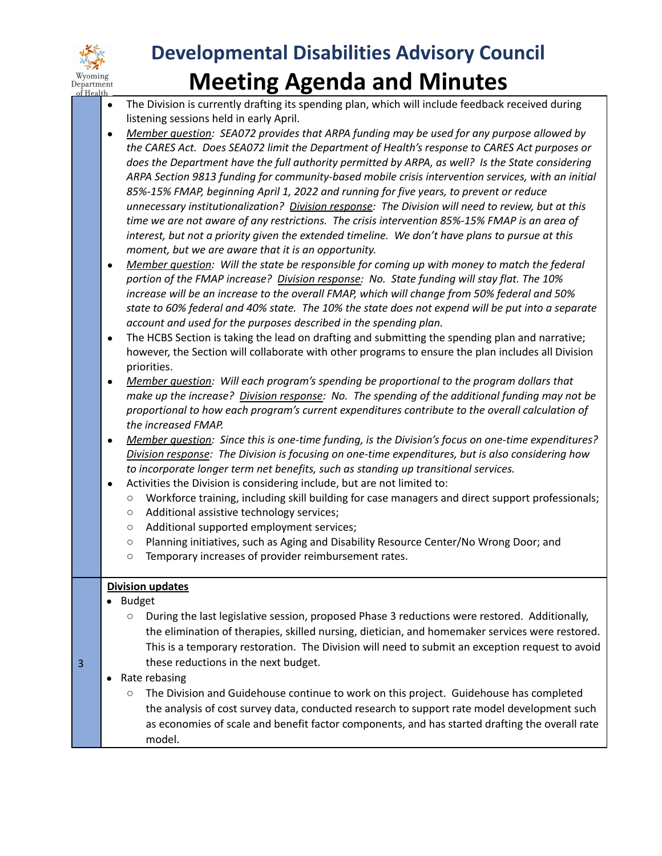

### **Developmental Disabilities Advisory Council Meeting Agenda and Minutes** Department<br> **Expariment**<br> **Expartment**<br> **Expartment**<br> **Expartment**<br> **Pepartment**<br> **Pepartment**<br> **Pepartment**<br> **Pepartment**<br> **Pepartment**<br> **Pepartment**<br> **Pepartment**<br> **Pepartment**<br> **Performance feedback received during**<br> **P**

- listening sessions held in early April.
- *● Member question: SEA072 provides that ARPA funding may be used for any purpose allowed by the CARES Act. Does SEA072 limit the Department of Health's response to CARES Act purposes or does the Department have the full authority permitted by ARPA, as well? Is the State considering ARPA Section 9813 funding for community-based mobile crisis intervention services, with an initial 85%-15% FMAP, beginning April 1, 2022 and running for five years, to prevent or reduce unnecessary institutionalization? Division response: The Division will need to review, but at this time we are not aware of any restrictions. The crisis intervention 85%-15% FMAP is an area of interest, but not a priority given the extended timeline. We don't have plans to pursue at this moment, but we are aware that it is an opportunity.*
- *● Member question: Will the state be responsible for coming up with money to match the federal portion of the FMAP increase? Division response: No. State funding will stay flat. The 10% increase will be an increase to the overall FMAP, which will change from 50% federal and 50%* state to 60% federal and 40% state. The 10% the state does not expend will be put into a separate *account and used for the purposes described in the spending plan.*
- The HCBS Section is taking the lead on drafting and submitting the spending plan and narrative; however, the Section will collaborate with other programs to ensure the plan includes all Division priorities.
- *● Member question: Will each program's spending be proportional to the program dollars that make up the increase? Division response: No. The spending of the additional funding may not be proportional to how each program's current expenditures contribute to the overall calculation of the increased FMAP.*
- *● Member question: Since this is one-time funding, is the Division's focus on one-time expenditures? Division response: The Division is focusing on one-time expenditures, but is also considering how to incorporate longer term net benefits, such as standing up transitional services.*
- Activities the Division is considering include, but are not limited to:
	- Workforce training, including skill building for case managers and direct support professionals;
	- Additional assistive technology services;
	- Additional supported employment services;
	- Planning initiatives, such as Aging and Disability Resource Center/No Wrong Door; and
	- Temporary increases of provider reimbursement rates.

#### **Division updates**

● Budget

3

- During the last legislative session, proposed Phase 3 reductions were restored. Additionally, the elimination of therapies, skilled nursing, dietician, and homemaker services were restored. This is a temporary restoration. The Division will need to submit an exception request to avoid these reductions in the next budget.
- Rate rebasing
	- The Division and Guidehouse continue to work on this project. Guidehouse has completed the analysis of cost survey data, conducted research to support rate model development such as economies of scale and benefit factor components, and has started drafting the overall rate model.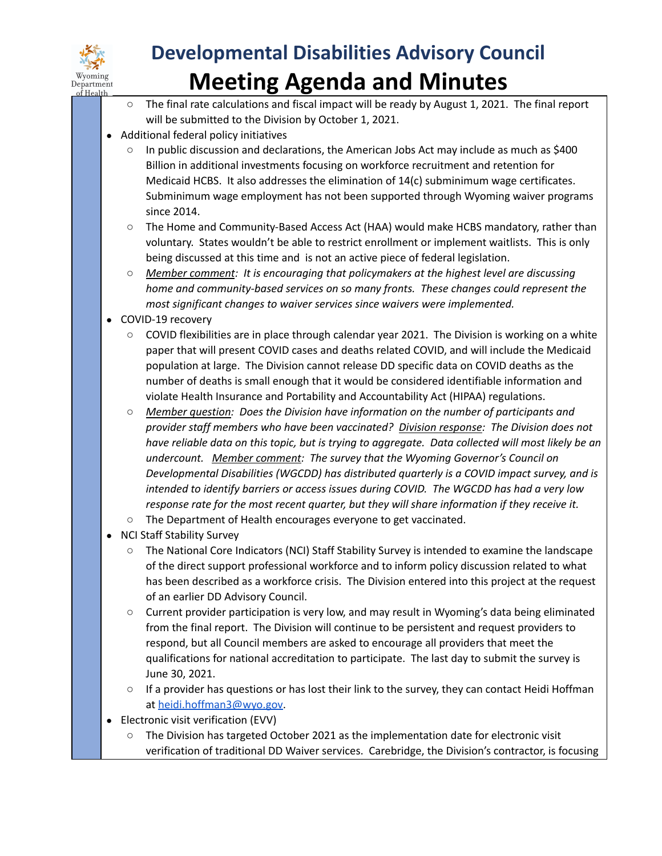

# **Developmental Disabilities Advisory Council Meeting Agenda and Minutes**

- The final rate calculations and fiscal impact will be ready by August 1, 2021. The final report will be submitted to the Division by October 1, 2021.
- Additional federal policy initiatives
	- In public discussion and declarations, the American Jobs Act may include as much as \$400 Billion in additional investments focusing on workforce recruitment and retention for Medicaid HCBS. It also addresses the elimination of 14(c) subminimum wage certificates. Subminimum wage employment has not been supported through Wyoming waiver programs since 2014.
	- The Home and Community-Based Access Act (HAA) would make HCBS mandatory, rather than voluntary. States wouldn't be able to restrict enrollment or implement waitlists. This is only being discussed at this time and is not an active piece of federal legislation.
	- *○ Member comment: It is encouraging that policymakers at the highest level are discussing home and community-based services on so many fronts. These changes could represent the most significant changes to waiver services since waivers were implemented.*
- COVID-19 recovery
	- $\circ$  COVID flexibilities are in place through calendar year 2021. The Division is working on a white paper that will present COVID cases and deaths related COVID, and will include the Medicaid population at large. The Division cannot release DD specific data on COVID deaths as the number of deaths is small enough that it would be considered identifiable information and violate Health Insurance and Portability and Accountability Act (HIPAA) regulations.
	- *○ Member question: Does the Division have information on the number of participants and provider staff members who have been vaccinated? Division response: The Division does not* have reliable data on this topic, but is trying to aggregate. Data collected will most likely be an *undercount. Member comment: The survey that the Wyoming Governor's Council on Developmental Disabilities (WGCDD) has distributed quarterly is a COVID impact survey, and is intended to identify barriers or access issues during COVID. The WGCDD has had a very low response rate for the most recent quarter, but they will share information if they receive it.*
	- The Department of Health encourages everyone to get vaccinated.
- **NCI Staff Stability Survey** 
	- The National Core Indicators (NCI) Staff Stability Survey is intended to examine the landscape of the direct support professional workforce and to inform policy discussion related to what has been described as a workforce crisis. The Division entered into this project at the request of an earlier DD Advisory Council.
	- Current provider participation is very low, and may result in Wyoming's data being eliminated from the final report. The Division will continue to be persistent and request providers to respond, but all Council members are asked to encourage all providers that meet the qualifications for national accreditation to participate. The last day to submit the survey is June 30, 2021.
	- If a provider has questions or has lost their link to the survey, they can contact Heidi Hoffman at [heidi.hoffman3@wyo.gov.](mailto:heidi.hoffman3@wyo.gov)
- **Electronic visit verification (EVV)** 
	- The Division has targeted October 2021 as the implementation date for electronic visit verification of traditional DD Waiver services. Carebridge, the Division's contractor, is focusing